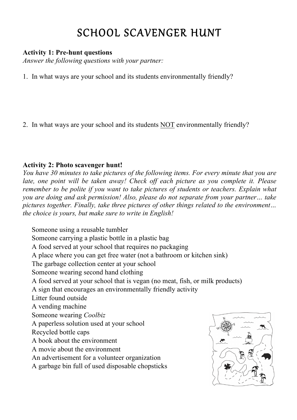# SCHOOL SCAVENGER HUNT

## **Activity 1: Pre-hunt questions**

*Answer the following questions with your partner:*

- 1. In what ways are your school and its students environmentally friendly?
- 2. In what ways are your school and its students NOT environmentally friendly?

## **Activity 2: Photo scavenger hunt!**

*You have 30 minutes to take pictures of the following items. For every minute that you are late, one point will be taken away! Check off each picture as you complete it. Please remember to be polite if you want to take pictures of students or teachers. Explain what you are doing and ask permission! Also, please do not separate from your partner… take pictures together. Finally, take three pictures of other things related to the environment… the choice is yours, but make sure to write in English!*

 Someone using a reusable tumbler Someone carrying a plastic bottle in a plastic bag A food served at your school that requires no packaging A place where you can get free water (not a bathroom or kitchen sink) The garbage collection center at your school Someone wearing second hand clothing A food served at your school that is vegan (no meat, fish, or milk products) A sign that encourages an environmentally friendly activity Litter found outside A vending machine Someone wearing *Coolbiz* A paperless solution used at your school Recycled bottle caps A book about the environment A movie about the environment An advertisement for a volunteer organization A garbage bin full of used disposable chopsticks